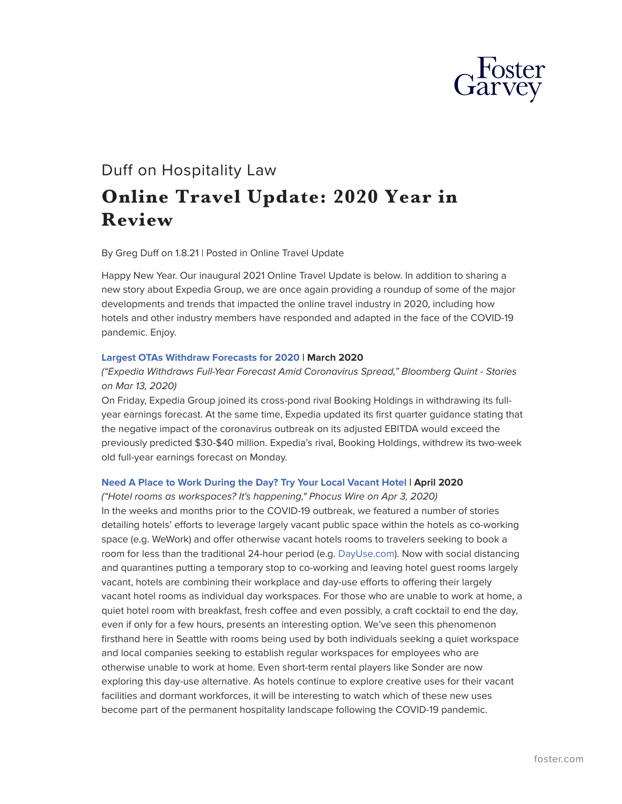

# Duff on Hospitality Law **Online Travel Update: 2020 Year in Review**

By Greg Duff on 1.8.21 | Posted in Online Travel Update

Happy New Year. Our inaugural 2021 Online Travel Update is below. In addition to sharing a new story about Expedia Group, we are once again providing a roundup of some of the major developments and trends that impacted the online travel industry in 2020, including how hotels and other industry members have responded and adapted in the face of the COVID-19 pandemic. Enjoy.

#### **[Largest OTAs Withdraw Forecasts for 2020](https://www.foster.com/duff-on-hospitality-law/tripadvisor-expediagroup-bookingholdings) | March 2020**

# *("Expedia Withdraws Full-Year Forecast Amid Coronavirus Spread," Bloomberg Quint - Stories on Mar 13, 2020)*

On Friday, Expedia Group joined its cross-pond rival Booking Holdings in withdrawing its fullyear earnings forecast. At the same time, Expedia updated its first quarter guidance stating that the negative impact of the coronavirus outbreak on its adjusted EBITDA would exceed the previously predicted \$30-\$40 million. Expedia's rival, Booking Holdings, withdrew its two-week old full-year earnings forecast on Monday.

#### **[Need A Place to Work During the Day? Try Your Local Vacant Hotel](https://www.foster.com/duff-on-hospitality-law/tripcom-hotels-expedia-booking-hongkong-investigation) | April 2020**

*("Hotel rooms as workspaces? It's happening," Phocus Wire on Apr 3, 2020)* In the weeks and months prior to the COVID-19 outbreak, we featured a number of stories detailing hotels' efforts to leverage largely vacant public space within the hotels as co-working space (e.g. WeWork) and offer otherwise vacant hotels rooms to travelers seeking to book a room for less than the traditional 24-hour period (e.g. [DayUse.com](http://dayuse.com/)). Now with social distancing and quarantines putting a temporary stop to co-working and leaving hotel guest rooms largely vacant, hotels are combining their workplace and day-use efforts to offering their largely vacant hotel rooms as individual day workspaces. For those who are unable to work at home, a quiet hotel room with breakfast, fresh coffee and even possibly, a craft cocktail to end the day, even if only for a few hours, presents an interesting option. We've seen this phenomenon firsthand here in Seattle with rooms being used by both individuals seeking a quiet workspace and local companies seeking to establish regular workspaces for employees who are otherwise unable to work at home. Even short-term rental players like Sonder are now exploring this day-use alternative. As hotels continue to explore creative uses for their vacant facilities and dormant workforces, it will be interesting to watch which of these new uses become part of the permanent hospitality landscape following the COVID-19 pandemic.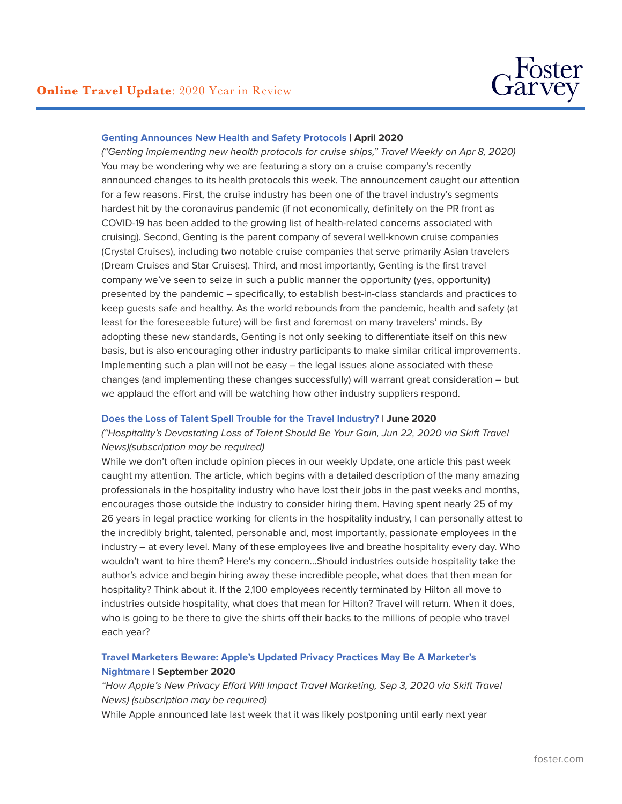#### **[Genting Announces New Health and Safety Protocols](https://www.foster.com/duff-on-hospitality-law/ota-travel-distribution-update-uks-competition-and) | April 2020**

*("Genting implementing new health protocols for cruise ships," Travel Weekly on Apr 8, 2020)* You may be wondering why we are featuring a story on a cruise company's recently announced changes to its health protocols this week. The announcement caught our attention for a few reasons. First, the cruise industry has been one of the travel industry's segments hardest hit by the coronavirus pandemic (if not economically, definitely on the PR front as COVID-19 has been added to the growing list of health-related concerns associated with cruising). Second, Genting is the parent company of several well-known cruise companies (Crystal Cruises), including two notable cruise companies that serve primarily Asian travelers (Dream Cruises and Star Cruises). Third, and most importantly, Genting is the first travel company we've seen to seize in such a public manner the opportunity (yes, opportunity) presented by the pandemic – specifically, to establish best-in-class standards and practices to keep guests safe and healthy. As the world rebounds from the pandemic, health and safety (at least for the foreseeable future) will be first and foremost on many travelers' minds. By adopting these new standards, Genting is not only seeking to differentiate itself on this new basis, but is also encouraging other industry participants to make similar critical improvements. Implementing such a plan will not be easy – the legal issues alone associated with these changes (and implementing these changes successfully) will warrant great consideration – but we applaud the effort and will be watching how other industry suppliers respond.

#### **[Does the Loss of Talent Spell Trouble for the Travel Industry?](https://www.foster.com/duff-on-hospitality-law/ota-travel-distribution-update-expedia-consolidates-its) | June 2020**

# *("Hospitality's Devastating Loss of Talent Should Be Your Gain, Jun 22, 2020 via Skift Travel News)(subscription may be required)*

While we don't often include opinion pieces in our weekly Update, one article this past week caught my attention. The article, which begins with a detailed description of the many amazing professionals in the hospitality industry who have lost their jobs in the past weeks and months, encourages those outside the industry to consider hiring them. Having spent nearly 25 of my 26 years in legal practice working for clients in the hospitality industry, I can personally attest to the incredibly bright, talented, personable and, most importantly, passionate employees in the industry – at every level. Many of these employees live and breathe hospitality every day. Who wouldn't want to hire them? Here's my concern…Should industries outside hospitality take the author's advice and begin hiring away these incredible people, what does that then mean for hospitality? Think about it. If the 2,100 employees recently terminated by Hilton all move to industries outside hospitality, what does that mean for Hilton? Travel will return. When it does, who is going to be there to give the shirts off their backs to the millions of people who travel each year?

## **[Travel Marketers Beware: Apple's Updated Privacy Practices May Be A Marketer's](https://www.foster.com/duff-on-hospitality-law/ota-travel-distribution-apple-updated-privacy-practices-marketer-nightmare) [Nightmare](https://www.foster.com/duff-on-hospitality-law/ota-travel-distribution-apple-updated-privacy-practices-marketer-nightmare) | September 2020**

*"How Apple's New Privacy Effort Will Impact Travel Marketing, Sep 3, 2020 via Skift Travel News) (subscription may be required)*

While Apple announced late last week that it was likely postponing until early next year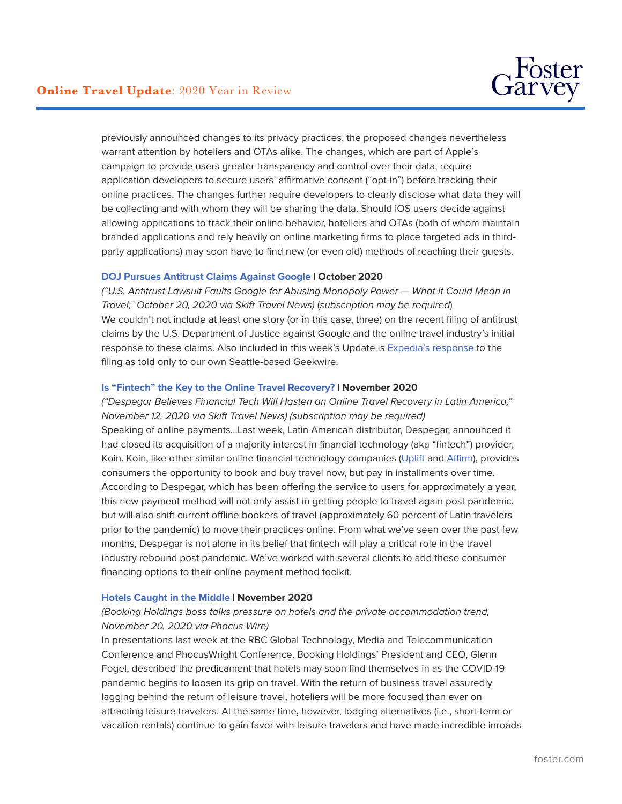

previously announced changes to its privacy practices, the proposed changes nevertheless warrant attention by hoteliers and OTAs alike. The changes, which are part of Apple's campaign to provide users greater transparency and control over their data, require application developers to secure users' affirmative consent ("opt-in") before tracking their online practices. The changes further require developers to clearly disclose what data they will be collecting and with whom they will be sharing the data. Should iOS users decide against allowing applications to track their online behavior, hoteliers and OTAs (both of whom maintain branded applications and rely heavily on online marketing firms to place targeted ads in thirdparty applications) may soon have to find new (or even old) methods of reaching their guests.

#### **[DOJ Pursues Antitrust Claims Against Google](https://www.foster.com/duff-on-hospitality-law/bookingcom-flightsearch-us-travelers-travel-trends-doj-antitrust-claims-google-sabre) | October 2020**

*("U.S. Antitrust Lawsuit Faults Google for Abusing Monopoly Power — What It Could Mean in Travel," October 20, 2020 via Skift Travel News)* (*subscription may be required*) We couldn't not include at least one story (or in this case, three) on the recent filing of antitrust claims by the U.S. Department of Justice against Google and the online travel industry's initial response to these claims. Also included in this week's Update is [Expedia's response](https://www.geekwire.com/2020/expedia-group-ceo-google-antitrust-case-pleased-see-government-finally-taking-action/) to the filing as told only to our own Seattle-based Geekwire.

#### **[Is "Fintech" the Key to the Online Travel Recovery?](https://www.foster.com/duff-on-hospitality-law/jetlblue-beachy-phocuswire-travel-startups-fintech-airbnb-bookingcom-gatekeeper) | November 2020**

*("Despegar Believes Financial Tech Will Hasten an Online Travel Recovery in Latin America," November 12, 2020 via Skift Travel News) (subscription may be required)* Speaking of online payments…Last week, Latin American distributor, Despegar, announced it had closed its acquisition of a majority interest in financial technology (aka "fintech") provider, Koin. Koin, like other similar online financial technology companies [\(Uplift](https://www.uplift.com/) and [Affirm\)](https://www.affirm.com/), provides consumers the opportunity to book and buy travel now, but pay in installments over time. According to Despegar, which has been offering the service to users for approximately a year, this new payment method will not only assist in getting people to travel again post pandemic, but will also shift current offline bookers of travel (approximately 60 percent of Latin travelers prior to the pandemic) to move their practices online. From what we've seen over the past few months, Despegar is not alone in its belief that fintech will play a critical role in the travel industry rebound post pandemic. We've worked with several clients to add these consumer financing options to their online payment method toolkit.

#### **[Hotels Caught in the Middle](https://www.foster.com/duff-on-hospitality-law/online-travel-update-kyte-hot-travel-startup-booking-holdings-hotel-airbnb-ipo) | November 2020**

# *(Booking Holdings boss talks pressure on hotels and the private accommodation trend, November 20, 2020 via Phocus Wire)*

In presentations last week at the RBC Global Technology, Media and Telecommunication Conference and PhocusWright Conference, Booking Holdings' President and CEO, Glenn Fogel, described the predicament that hotels may soon find themselves in as the COVID-19 pandemic begins to loosen its grip on travel. With the return of business travel assuredly lagging behind the return of leisure travel, hoteliers will be more focused than ever on attracting leisure travelers. At the same time, however, lodging alternatives (i.e., short-term or vacation rentals) continue to gain favor with leisure travelers and have made incredible inroads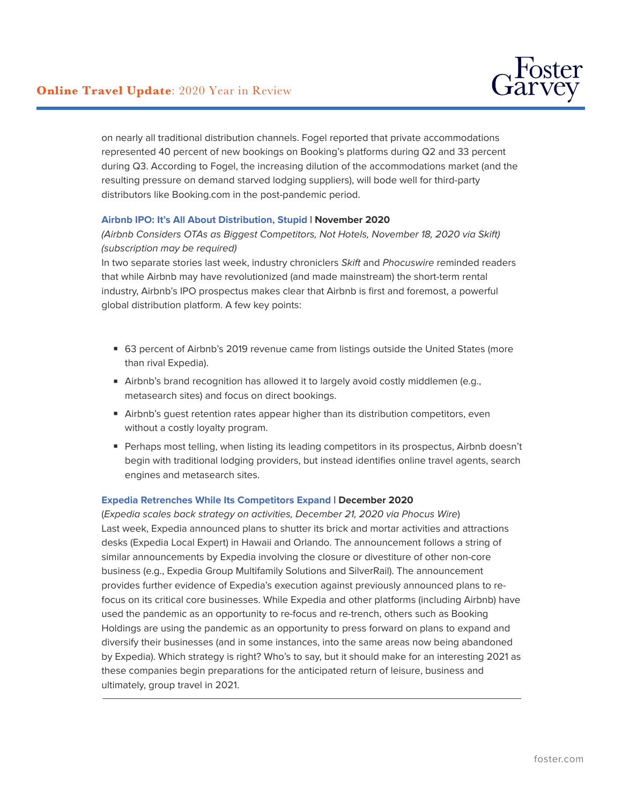

on nearly all traditional distribution channels. Fogel reported that private accommodations represented 40 percent of new bookings on Booking's platforms during Q2 and 33 percent during Q3. According to Fogel, the increasing dilution of the accommodations market (and the resulting pressure on demand starved lodging suppliers), will bode well for third-party distributors like Booking.com in the post-pandemic period.

## **[Airbnb IPO: It's All About Distribution, Stupid](https://www.foster.com/duff-on-hospitality-law/online-travel-update-kyte-hot-travel-startup-booking-holdings-hotel-airbnb-ipo) | November 2020**

*(Airbnb Considers OTAs as Biggest Competitors, Not Hotels, November 18, 2020 via Skift) (subscription may be required)*

In two separate stories last week, industry chroniclers *Skift* and *Phocuswire* reminded readers that while Airbnb may have revolutionized (and made mainstream) the short-term rental industry, Airbnb's IPO prospectus makes clear that Airbnb is first and foremost, a powerful global distribution platform. A few key points:

- 63 percent of Airbnb's 2019 revenue came from listings outside the United States (more than rival Expedia).
- Airbnb's brand recognition has allowed it to largely avoid costly middlemen (e.g., metasearch sites) and focus on direct bookings.
- Airbnb's guest retention rates appear higher than its distribution competitors, even without a costly loyalty program.
- Perhaps most telling, when listing its leading competitors in its prospectus, Airbnb doesn't begin with traditional lodging providers, but instead identifies online travel agents, search engines and metasearch sites.

#### **[Expedia Retrenches While Its Competitors Expand](https://www.foster.com/duff-on-hospitality-law/online-travel-update-agoda-installment-payments-expedia-scales-back-competitors-expand) | December 2020**

(*Expedia scales back strategy on activities, December 21, 2020 via Phocus Wire*) Last week, Expedia announced plans to shutter its brick and mortar activities and attractions desks (Expedia Local Expert) in Hawaii and Orlando. The announcement follows a string of similar announcements by Expedia involving the closure or divestiture of other non-core business (e.g., Expedia Group Multifamily Solutions and SilverRail). The announcement provides further evidence of Expedia's execution against previously announced plans to refocus on its critical core businesses. While Expedia and other platforms (including Airbnb) have used the pandemic as an opportunity to re-focus and re-trench, others such as Booking Holdings are using the pandemic as an opportunity to press forward on plans to expand and diversify their businesses (and in some instances, into the same areas now being abandoned by Expedia). Which strategy is right? Who's to say, but it should make for an interesting 2021 as these companies begin preparations for the anticipated return of leisure, business and ultimately, group travel in 2021.  $\overline{a}$